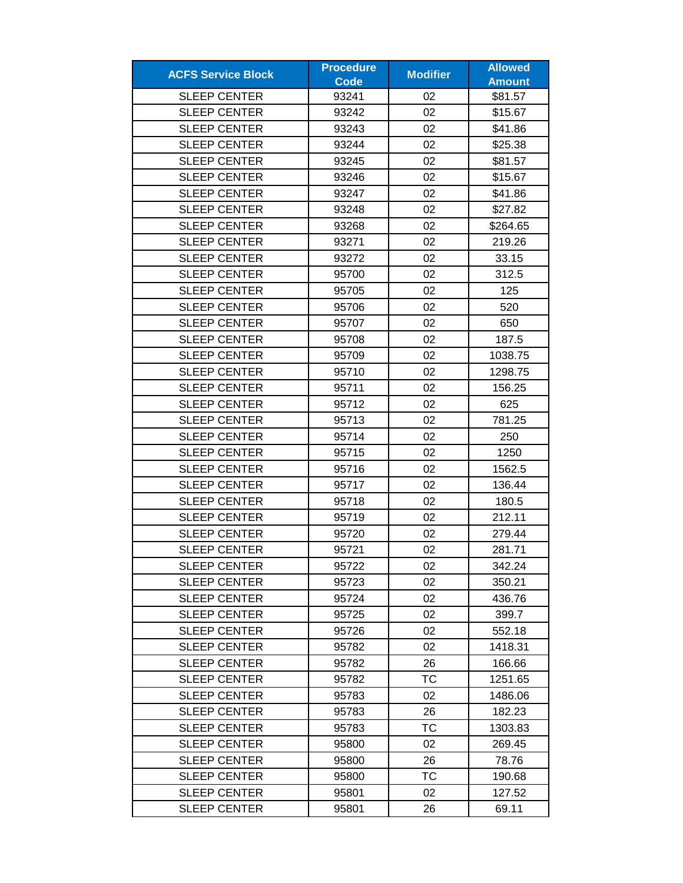| <b>ACFS Service Block</b> | <b>Procedure</b> |                 | <b>Allowed</b> |
|---------------------------|------------------|-----------------|----------------|
|                           | <b>Code</b>      | <b>Modifier</b> | <b>Amount</b>  |
| <b>SLEEP CENTER</b>       | 93241            | 02              | \$81.57        |
| <b>SLEEP CENTER</b>       | 93242            | 02              | \$15.67        |
| <b>SLEEP CENTER</b>       | 93243            | 02              | \$41.86        |
| <b>SLEEP CENTER</b>       | 93244            | 02              | \$25.38        |
| <b>SLEEP CENTER</b>       | 93245            | 02              | \$81.57        |
| <b>SLEEP CENTER</b>       | 93246            | 02              | \$15.67        |
| <b>SLEEP CENTER</b>       | 93247            | 02              | \$41.86        |
| <b>SLEEP CENTER</b>       | 93248            | 02              | \$27.82        |
| <b>SLEEP CENTER</b>       | 93268            | 02              | \$264.65       |
| <b>SLEEP CENTER</b>       | 93271            | 02              | 219.26         |
| <b>SLEEP CENTER</b>       | 93272            | 02              | 33.15          |
| <b>SLEEP CENTER</b>       | 95700            | 02              | 312.5          |
| <b>SLEEP CENTER</b>       | 95705            | 02              | 125            |
| <b>SLEEP CENTER</b>       | 95706            | 02              | 520            |
| <b>SLEEP CENTER</b>       | 95707            | 02              | 650            |
| <b>SLEEP CENTER</b>       | 95708            | 02              | 187.5          |
| <b>SLEEP CENTER</b>       | 95709            | 02              | 1038.75        |
| <b>SLEEP CENTER</b>       | 95710            | 02              | 1298.75        |
| <b>SLEEP CENTER</b>       | 95711            | 02              | 156.25         |
| <b>SLEEP CENTER</b>       | 95712            | 02              | 625            |
| <b>SLEEP CENTER</b>       | 95713            | 02              | 781.25         |
| <b>SLEEP CENTER</b>       | 95714            | 02              | 250            |
| <b>SLEEP CENTER</b>       | 95715            | 02              | 1250           |
| <b>SLEEP CENTER</b>       | 95716            | 02              | 1562.5         |
| <b>SLEEP CENTER</b>       | 95717            | 02              | 136.44         |
| <b>SLEEP CENTER</b>       | 95718            | 02              | 180.5          |
| <b>SLEEP CENTER</b>       | 95719            | 02              | 212.11         |
| <b>SLEEP CENTER</b>       | 95720            | 02              | 279.44         |
| <b>SLEEP CENTER</b>       | 95721            | 02              | 281.71         |
| <b>SLEEP CENTER</b>       | 95722            | 02              | 342.24         |
| <b>SLEEP CENTER</b>       | 95723            | 02              | 350.21         |
| <b>SLEEP CENTER</b>       | 95724            | 02              | 436.76         |
| <b>SLEEP CENTER</b>       | 95725            | 02              | 399.7          |
| <b>SLEEP CENTER</b>       | 95726            | 02              | 552.18         |
| <b>SLEEP CENTER</b>       | 95782            | 02              | 1418.31        |
| <b>SLEEP CENTER</b>       | 95782            | 26              | 166.66         |
| <b>SLEEP CENTER</b>       | 95782            | TC              | 1251.65        |
| <b>SLEEP CENTER</b>       | 95783            | 02              | 1486.06        |
| <b>SLEEP CENTER</b>       | 95783            | 26              | 182.23         |
| <b>SLEEP CENTER</b>       | 95783            | <b>TC</b>       | 1303.83        |
| <b>SLEEP CENTER</b>       | 95800            | 02              | 269.45         |
| <b>SLEEP CENTER</b>       | 95800            | 26              | 78.76          |
| <b>SLEEP CENTER</b>       | 95800            | TC              | 190.68         |
| <b>SLEEP CENTER</b>       | 95801            | 02              | 127.52         |
| <b>SLEEP CENTER</b>       | 95801            | 26              | 69.11          |